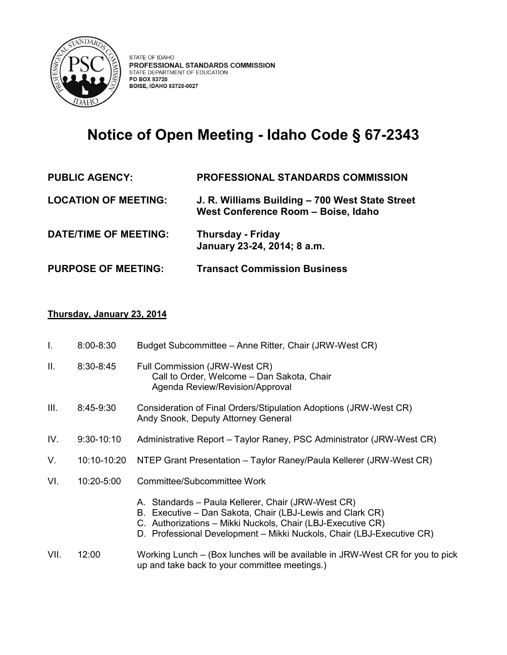

## **Notice of Open Meeting - Idaho Code § 67-2343**

| <b>PUBLIC AGENCY:</b>       | <b>PROFESSIONAL STANDARDS COMMISSION</b>                                               |
|-----------------------------|----------------------------------------------------------------------------------------|
| <b>LOCATION OF MEETING:</b> | J. R. Williams Building - 700 West State Street<br>West Conference Room - Boise, Idaho |
| DATE/TIME OF MEETING:       | <b>Thursday - Friday</b><br>January 23-24, 2014; 8 a.m.                                |
| <b>PURPOSE OF MEETING:</b>  | <b>Transact Commission Business</b>                                                    |

## **Thursday, January 23, 2014**

| I.   | $8:00 - 8:30$ | Budget Subcommittee - Anne Ritter, Chair (JRW-West CR)                                                                                                                                                                                                  |
|------|---------------|---------------------------------------------------------------------------------------------------------------------------------------------------------------------------------------------------------------------------------------------------------|
| Ш.   | $8:30 - 8:45$ | Full Commission (JRW-West CR)<br>Call to Order, Welcome - Dan Sakota, Chair<br>Agenda Review/Revision/Approval                                                                                                                                          |
| III. | 8:45-9:30     | Consideration of Final Orders/Stipulation Adoptions (JRW-West CR)<br>Andy Snook, Deputy Attorney General                                                                                                                                                |
| IV.  | $9:30-10:10$  | Administrative Report – Taylor Raney, PSC Administrator (JRW-West CR)                                                                                                                                                                                   |
| V.   | 10:10-10:20   | NTEP Grant Presentation – Taylor Raney/Paula Kellerer (JRW-West CR)                                                                                                                                                                                     |
| VI.  | 10:20-5:00    | Committee/Subcommittee Work                                                                                                                                                                                                                             |
|      |               | A. Standards - Paula Kellerer, Chair (JRW-West CR)<br>B. Executive - Dan Sakota, Chair (LBJ-Lewis and Clark CR)<br>C. Authorizations - Mikki Nuckols, Chair (LBJ-Executive CR)<br>D. Professional Development - Mikki Nuckols, Chair (LBJ-Executive CR) |
| VII. | 12:00         | Working Lunch – (Box lunches will be available in JRW-West CR for you to pick<br>up and take back to your committee meetings.)                                                                                                                          |